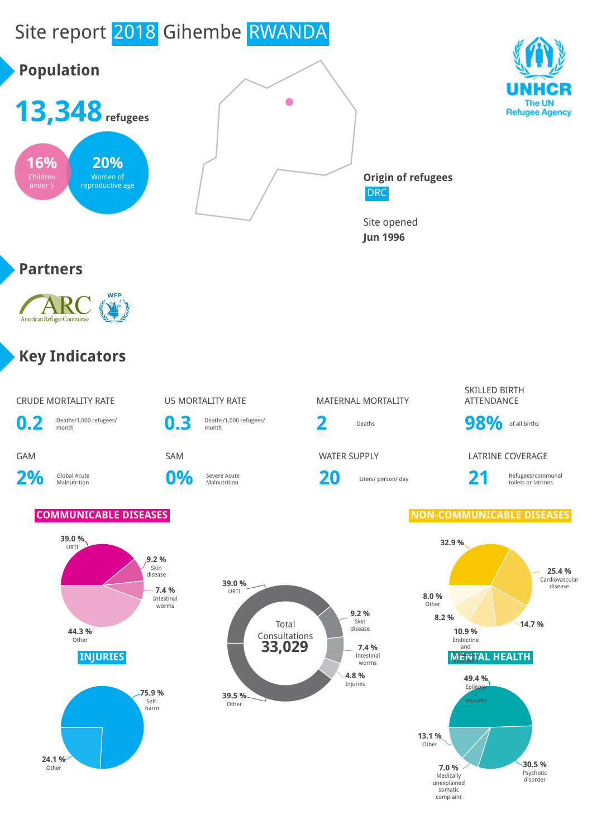

unexplained somatic complaint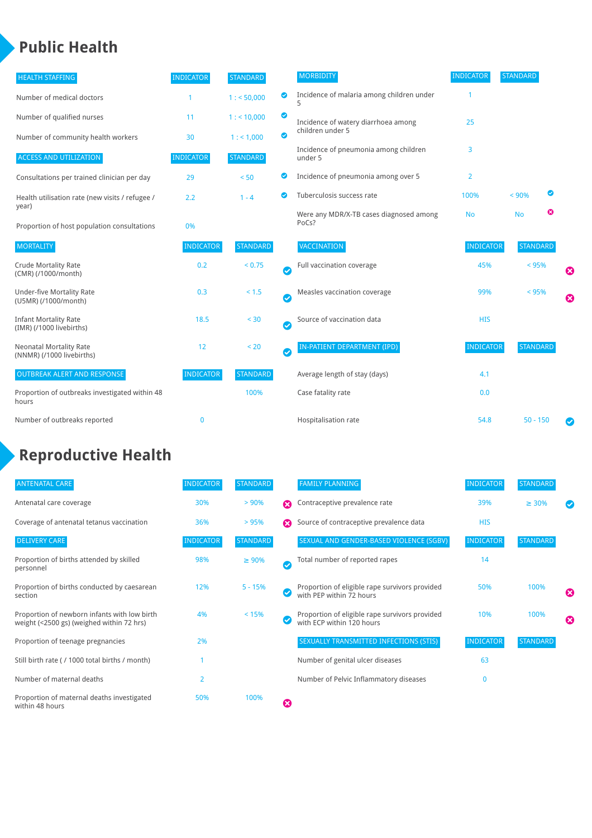### **Public Health**

| <b>HEALTH STAFFING</b>                                      | <b>INDICATOR</b> | <b>STANDARD</b> |           | <b>MORBIDITY</b>                                 | <b>INDICATOR</b> | <b>STANDARD</b> |                       |
|-------------------------------------------------------------|------------------|-----------------|-----------|--------------------------------------------------|------------------|-----------------|-----------------------|
| Number of medical doctors                                   |                  | 1: 50,000       | అ         | Incidence of malaria among children under        |                  |                 |                       |
| Number of qualified nurses                                  | 11               | 1:10,000        | ◙         | Incidence of watery diarrhoea among              | 25               |                 |                       |
| Number of community health workers                          | 30               | 1: 1,000        | ◙         | children under 5                                 |                  |                 |                       |
| <b>ACCESS AND UTILIZATION</b>                               | <b>INDICATOR</b> | <b>STANDARD</b> |           | Incidence of pneumonia among children<br>under 5 | 3                |                 |                       |
| Consultations per trained clinician per day                 | 29               | < 50            | ◙         | Incidence of pneumonia among over 5              | $\overline{2}$   |                 |                       |
| Health utilisation rate (new visits / refugee /             | 2.2              | $1 - 4$         | Ø         | Tuberculosis success rate                        | 100%             | Ø<br>< 90%      |                       |
| year)<br>Proportion of host population consultations        | 0%               |                 |           | Were any MDR/X-TB cases diagnosed among<br>PoCs? | <b>No</b>        | ఴ<br><b>No</b>  |                       |
| <b>MORTALITY</b>                                            | <b>INDICATOR</b> | <b>STANDARD</b> |           | VACCINATION                                      | <b>INDICATOR</b> | <b>STANDARD</b> |                       |
| <b>Crude Mortality Rate</b><br>(CMR) (/1000/month)          | 0.2              | < 0.75          | Ø         | Full vaccination coverage                        | 45%              | < 95%           | Ø                     |
| <b>Under-five Mortality Rate</b><br>(U5MR) (/1000/month)    | 0.3              | $< 1.5$         | $\bullet$ | Measles vaccination coverage                     | 99%              | $< 95\%$        | $\boldsymbol{\Omega}$ |
| <b>Infant Mortality Rate</b><br>(IMR) (/1000 livebirths)    | 18.5             | < 30            | Ø         | Source of vaccination data                       | <b>HIS</b>       |                 |                       |
| <b>Neonatal Mortality Rate</b><br>(NNMR) (/1000 livebirths) | 12               | < 20            | $\bullet$ | <b>IN-PATIENT DEPARTMENT (IPD)</b>               | <b>INDICATOR</b> | <b>STANDARD</b> |                       |
| <b>OUTBREAK ALERT AND RESPONSE</b>                          | <b>INDICATOR</b> | <b>STANDARD</b> |           | Average length of stay (days)                    | 4.1              |                 |                       |
| Proportion of outbreaks investigated within 48<br>hours     |                  | 100%            |           | Case fatality rate                               | 0.0              |                 |                       |
| Number of outbreaks reported                                | $\mathbf 0$      |                 |           | Hospitalisation rate                             | 54.8             | $50 - 150$      |                       |

### **Reproductive Health**

| <b>ANTENATAL CARE</b>                                                                     | <b>INDICATOR</b> | <b>STANDARD</b> |              | <b>FAMILY PLANNING</b>                                                      | <b>INDICATOR</b> | <b>STANDARD</b> |   |
|-------------------------------------------------------------------------------------------|------------------|-----------------|--------------|-----------------------------------------------------------------------------|------------------|-----------------|---|
| Antenatal care coverage                                                                   | 30%              | > 90%           | Ω            | Contraceptive prevalence rate                                               | 39%              | $\geq 30\%$     |   |
| Coverage of antenatal tetanus vaccination                                                 | 36%              | >95%            |              | Source of contraceptive prevalence data                                     | <b>HIS</b>       |                 |   |
| <b>DELIVERY CARE</b>                                                                      | <b>INDICATOR</b> | <b>STANDARD</b> |              | SEXUAL AND GENDER-BASED VIOLENCE (SGBV)                                     | <b>INDICATOR</b> | <b>STANDARD</b> |   |
| Proportion of births attended by skilled<br>personnel                                     | 98%              | $\geq 90\%$     | $\checkmark$ | Total number of reported rapes                                              | 14               |                 |   |
| Proportion of births conducted by caesarean<br>section                                    | 12%              | $5 - 15%$       |              | Proportion of eligible rape survivors provided<br>with PEP within 72 hours  | 50%              | 100%            | ೞ |
| Proportion of newborn infants with low birth<br>weight (<2500 gs) (weighed within 72 hrs) | 4%               | < 15%           |              | Proportion of eligible rape survivors provided<br>with ECP within 120 hours | 10%              | 100%            | Ø |
| Proportion of teenage pregnancies                                                         | 2%               |                 |              | SEXUALLY TRANSMITTED INFECTIONS (STIS)                                      | <b>INDICATOR</b> | <b>STANDARD</b> |   |
| Still birth rate (/ 1000 total births / month)                                            |                  |                 |              | Number of genital ulcer diseases                                            | 63               |                 |   |
| Number of maternal deaths                                                                 | $\overline{2}$   |                 |              | Number of Pelvic Inflammatory diseases                                      | $\mathbf{0}$     |                 |   |
| Proportion of maternal deaths investigated<br>within 48 hours                             | 50%              | 100%            | Ø            |                                                                             |                  |                 |   |